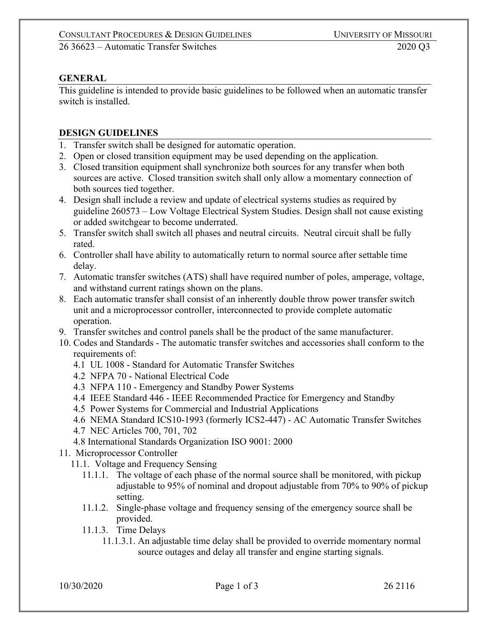## **GENERAL**

This guideline is intended to provide basic guidelines to be followed when an automatic transfer switch is installed.

## **DESIGN GUIDELINES**

- 1. Transfer switch shall be designed for automatic operation.
- 2. Open or closed transition equipment may be used depending on the application.
- 3. Closed transition equipment shall synchronize both sources for any transfer when both sources are active. Closed transition switch shall only allow a momentary connection of both sources tied together.
- 4. Design shall include a review and update of electrical systems studies as required by guideline 260573 – Low Voltage Electrical System Studies. Design shall not cause existing or added switchgear to become underrated.
- 5. Transfer switch shall switch all phases and neutral circuits. Neutral circuit shall be fully rated.
- 6. Controller shall have ability to automatically return to normal source after settable time delay.
- 7. Automatic transfer switches (ATS) shall have required number of poles, amperage, voltage, and withstand current ratings shown on the plans.
- 8. Each automatic transfer shall consist of an inherently double throw power transfer switch unit and a microprocessor controller, interconnected to provide complete automatic operation.
- 9. Transfer switches and control panels shall be the product of the same manufacturer.
- 10. Codes and Standards The automatic transfer switches and accessories shall conform to the requirements of:
	- 4.1 UL 1008 Standard for Automatic Transfer Switches
	- 4.2 NFPA 70 National Electrical Code
	- 4.3 NFPA 110 Emergency and Standby Power Systems
	- 4.4 IEEE Standard 446 IEEE Recommended Practice for Emergency and Standby
	- 4.5 Power Systems for Commercial and Industrial Applications
	- 4.6 NEMA Standard ICS10-1993 (formerly ICS2-447) AC Automatic Transfer Switches
	- 4.7 NEC Articles 700, 701, 702
	- 4.8 International Standards Organization ISO 9001: 2000
- 11. Microprocessor Controller
	- 11.1. Voltage and Frequency Sensing
		- 11.1.1. The voltage of each phase of the normal source shall be monitored, with pickup adjustable to 95% of nominal and dropout adjustable from 70% to 90% of pickup setting.
		- 11.1.2. Single-phase voltage and frequency sensing of the emergency source shall be provided.
		- 11.1.3. Time Delays
			- 11.1.3.1. An adjustable time delay shall be provided to override momentary normal source outages and delay all transfer and engine starting signals.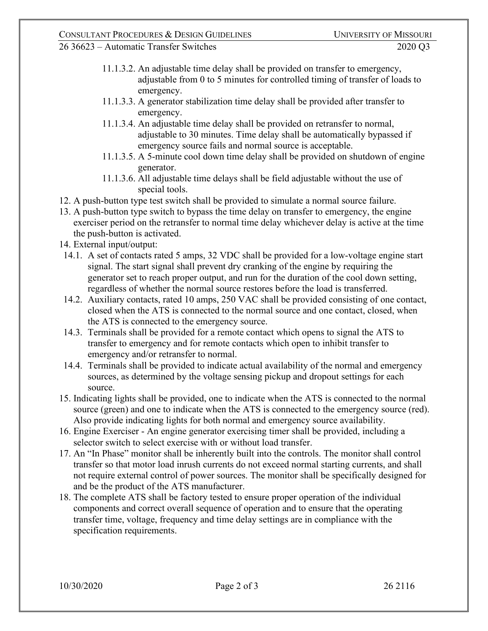26 36623 – Automatic Transfer Switches 2020 Q3

- 11.1.3.2. An adjustable time delay shall be provided on transfer to emergency, adjustable from 0 to 5 minutes for controlled timing of transfer of loads to emergency.
- 11.1.3.3. A generator stabilization time delay shall be provided after transfer to emergency.
- 11.1.3.4. An adjustable time delay shall be provided on retransfer to normal, adjustable to 30 minutes. Time delay shall be automatically bypassed if emergency source fails and normal source is acceptable.
- 11.1.3.5. A 5-minute cool down time delay shall be provided on shutdown of engine generator.
- 11.1.3.6. All adjustable time delays shall be field adjustable without the use of special tools.
- 12. A push-button type test switch shall be provided to simulate a normal source failure.
- 13. A push-button type switch to bypass the time delay on transfer to emergency, the engine exerciser period on the retransfer to normal time delay whichever delay is active at the time the push-button is activated.
- 14. External input/output:
- 14.1. A set of contacts rated 5 amps, 32 VDC shall be provided for a low-voltage engine start signal. The start signal shall prevent dry cranking of the engine by requiring the generator set to reach proper output, and run for the duration of the cool down setting, regardless of whether the normal source restores before the load is transferred.
- 14.2. Auxiliary contacts, rated 10 amps, 250 VAC shall be provided consisting of one contact, closed when the ATS is connected to the normal source and one contact, closed, when the ATS is connected to the emergency source.
- 14.3. Terminals shall be provided for a remote contact which opens to signal the ATS to transfer to emergency and for remote contacts which open to inhibit transfer to emergency and/or retransfer to normal.
- 14.4. Terminals shall be provided to indicate actual availability of the normal and emergency sources, as determined by the voltage sensing pickup and dropout settings for each source.
- 15. Indicating lights shall be provided, one to indicate when the ATS is connected to the normal source (green) and one to indicate when the ATS is connected to the emergency source (red). Also provide indicating lights for both normal and emergency source availability.
- 16. Engine Exerciser An engine generator exercising timer shall be provided, including a selector switch to select exercise with or without load transfer.
- 17. An "In Phase" monitor shall be inherently built into the controls. The monitor shall control transfer so that motor load inrush currents do not exceed normal starting currents, and shall not require external control of power sources. The monitor shall be specifically designed for and be the product of the ATS manufacturer.
- 18. The complete ATS shall be factory tested to ensure proper operation of the individual components and correct overall sequence of operation and to ensure that the operating transfer time, voltage, frequency and time delay settings are in compliance with the specification requirements.